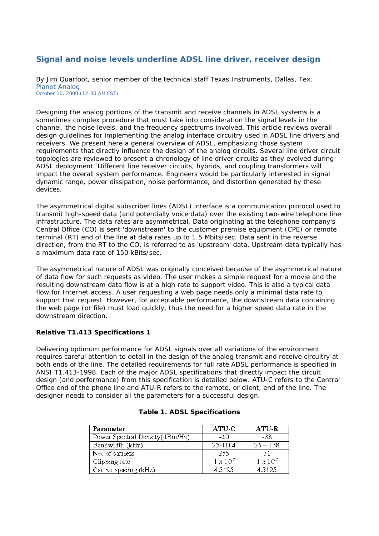# **Signal and noise levels underline ADSL line driver, receiver design**

By Jim Quarfoot, senior member of the technical staff Texas Instruments, Dallas, Tex. [Planet Analog](http://www.planetanalog.com/)  October 10, 2000 (12:00 AM EST)

Designing the analog portions of the transmit and receive channels in ADSL systems is a sometimes complex procedure that must take into consideration the signal levels in the channel, the noise levels, and the frequency spectrums involved. This article reviews overall design guidelines for implementing the analog interface circuitry used in ADSL line drivers and receivers. We present here a general overview of ADSL, emphasizing those system requirements that directly influence the design of the analog circuits. Several line driver circuit topologies are reviewed to present a chronology of line driver circuits as they evolved during ADSL deployment. Different line receiver circuits, hybrids, and coupling transformers will impact the overall system performance. Engineers would be particularly interested in signal dynamic range, power dissipation, noise performance, and distortion generated by these devices.

The asymmetrical digital subscriber lines (ADSL) interface is a communication protocol used to transmit high-speed data (and potentially voice data) over the existing two-wire telephone line infrastructure. The data rates are asymmetrical. Data originating at the telephone company's Central Office (CO) is sent 'downstream' to the customer premise equipment (CPE) or remote terminal (RT) end of the line at data rates up to 1.5 Mbits/sec. Data sent in the reverse direction, from the RT to the CO, is referred to as 'upstream' data. Upstream data typically has a maximum data rate of 150 kBits/sec.

The asymmetrical nature of ADSL was originally conceived because of the asymmetrical nature of data flow for such requests as video. The user makes a simple request for a movie and the resulting downstream data flow is at a high rate to support video. This is also a typical data flow for Internet access. A user requesting a web page needs only a minimal data rate to support that request. However, for acceptable performance, the downstream data containing the web page (or file) must load quickly, thus the need for a higher speed data rate in the downstream direction.

### **Relative T1.413 Specifications 1**

Delivering optimum performance for ADSL signals over all variations of the environment requires careful attention to detail in the design of the analog transmit and receive circuitry at both ends of the line. The detailed requirements for full rate ADSL performance is specified in ANSI T1.413-1998. Each of the major ADSL specifications that directly impact the circuit design (and performance) from this specification is detailed below. ATU-C refers to the Central Office end of the phone line and ATU-R refers to the remote, or client, end of the line. The designer needs to consider all the parameters for a successful design.

| Parameter                       | ATU-C           | ATU-R           |
|---------------------------------|-----------------|-----------------|
| Power Spectral Density (dBm/Hz) | -40.            | -38             |
| Bandwidth (kHz)                 | 25-1104         | $25 - 138$      |
| No. of carriers                 | -255            | 31              |
| Clipping rate                   | $1 \times 10^7$ | $1 \times 10^7$ |
| Carrier spacing (kHz)           | 4.3125          | 4.3125          |

# **Table 1. ADSL Specifications**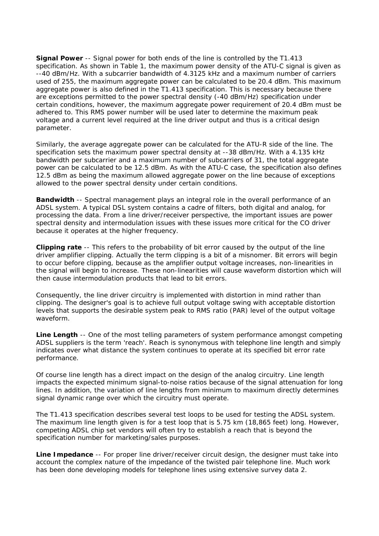**Signal Power** -- Signal power for both ends of the line is controlled by the T1.413 specification. As shown in Table 1, the maximum power density of the ATU-C signal is given as --40 dBm/Hz. With a subcarrier bandwidth of 4.3125 kHz and a maximum number of carriers used of 255, the maximum aggregate power can be calculated to be 20.4 dBm. This maximum aggregate power is also defined in the T1.413 specification. This is necessary because there are exceptions permitted to the power spectral density (-40 dBm/Hz) specification under certain conditions, however, the maximum aggregate power requirement of 20.4 dBm must be adhered to. This RMS power number will be used later to determine the maximum peak voltage and a current level required at the line driver output and thus is a critical design parameter.

Similarly, the average aggregate power can be calculated for the ATU-R side of the line. The specification sets the maximum power spectral density at --38 dBm/Hz. With a 4.135 kHz bandwidth per subcarrier and a maximum number of subcarriers of 31, the total aggregate power can be calculated to be 12.5 dBm. As with the ATU-C case, the specification also defines 12.5 dBm as being the maximum allowed aggregate power on the line because of exceptions allowed to the power spectral density under certain conditions.

**Bandwidth** -- Spectral management plays an integral role in the overall performance of an ADSL system. A typical DSL system contains a cadre of filters, both digital and analog, for processing the data. From a line driver/receiver perspective, the important issues are power spectral density and intermodulation issues with these issues more critical for the CO driver because it operates at the higher frequency.

**Clipping rate** -- This refers to the probability of bit error caused by the output of the line driver amplifier clipping. Actually the term clipping is a bit of a misnomer. Bit errors will begin to occur before clipping, because as the amplifier output voltage increases, non-linearities in the signal will begin to increase. These non-linearities will cause waveform distortion which will then cause intermodulation products that lead to bit errors.

Consequently, the line driver circuitry is implemented with distortion in mind rather than clipping. The designer's goal is to achieve full output voltage swing with acceptable distortion levels that supports the desirable system peak to RMS ratio (PAR) level of the output voltage waveform.

**Line Length** -- One of the most telling parameters of system performance amongst competing ADSL suppliers is the term 'reach'. Reach is synonymous with telephone line length and simply indicates over what distance the system continues to operate at its specified bit error rate performance.

Of course line length has a direct impact on the design of the analog circuitry. Line length impacts the expected minimum signal-to-noise ratios because of the signal attenuation for long lines. In addition, the variation of line lengths from minimum to maximum directly determines signal dynamic range over which the circuitry must operate.

The T1.413 specification describes several test loops to be used for testing the ADSL system. The maximum line length given is for a test loop that is 5.75 km (18,865 feet) long. However, competing ADSL chip set vendors will often try to establish a reach that is beyond the specification number for marketing/sales purposes.

**Line Impedance** -- For proper line driver/receiver circuit design, the designer must take into account the complex nature of the impedance of the twisted pair telephone line. Much work has been done developing models for telephone lines using extensive survey data 2.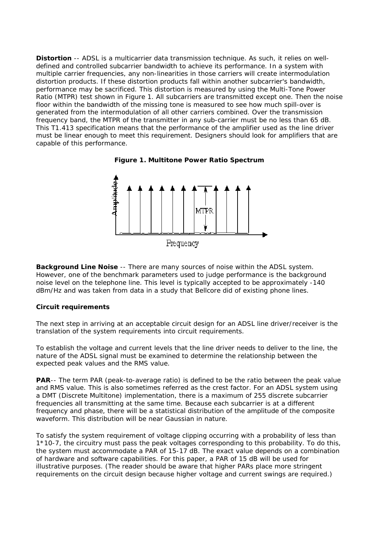**Distortion** -- ADSL is a multicarrier data transmission technique. As such, it relies on welldefined and controlled subcarrier bandwidth to achieve its performance. In a system with multiple carrier frequencies, any non-linearities in those carriers will create intermodulation distortion products. If these distortion products fall within another subcarrier's bandwidth, performance may be sacrificed. This distortion is measured by using the Multi-Tone Power Ratio (MTPR) test shown in Figure 1. All subcarriers are transmitted except one. Then the noise floor within the bandwidth of the missing tone is measured to see how much spill-over is generated from the intermodulation of all other carriers combined. Over the transmission frequency band, the MTPR of the transmitter in any sub-carrier must be no less than 65 dB. This T1.413 specification means that the performance of the amplifier used as the line driver must be linear enough to meet this requirement. Designers should look for amplifiers that are capable of this performance.





**Background Line Noise** -- There are many sources of noise within the ADSL system. However, one of the benchmark parameters used to judge performance is the background noise level on the telephone line. This level is typically accepted to be approximately -140 dBm/Hz and was taken from data in a study that Bellcore did of existing phone lines.

### **Circuit requirements**

The next step in arriving at an acceptable circuit design for an ADSL line driver/receiver is the translation of the system requirements into circuit requirements.

To establish the voltage and current levels that the line driver needs to deliver to the line, the nature of the ADSL signal must be examined to determine the relationship between the expected peak values and the RMS value.

**PAR**-- The term PAR (peak-to-average ratio) is defined to be the ratio between the peak value and RMS value. This is also sometimes referred as the crest factor. For an ADSL system using a DMT (Discrete Multitone) implementation, there is a maximum of 255 discrete subcarrier frequencies all transmitting at the same time. Because each subcarrier is at a different frequency and phase, there will be a statistical distribution of the amplitude of the composite waveform. This distribution will be near Gaussian in nature.

To satisfy the system requirement of voltage clipping occurring with a probability of less than 1\*10-7, the circuitry must pass the peak voltages corresponding to this probability. To do this, the system must accommodate a PAR of 15-17 dB. The exact value depends on a combination of hardware and software capabilities. For this paper, a PAR of 15 dB will be used for illustrative purposes. (The reader should be aware that higher PARs place more stringent requirements on the circuit design because higher voltage and current swings are required.)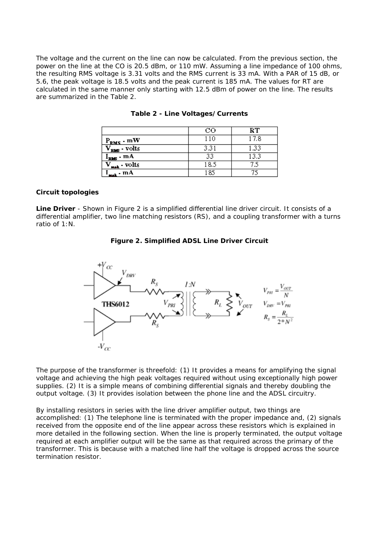The voltage and the current on the line can now be calculated. From the previous section, the power on the line at the CO is 20.5 dBm, or 110 mW. Assuming a line impedance of 100 ohms, the resulting RMS voltage is 3.31 volts and the RMS current is 33 mA. With a PAR of 15 dB, or 5.6, the peak voltage is 18.5 volts and the peak current is 185 mA. The values for RT are calculated in the same manner only starting with 12.5 dBm of power on the line. The results are summarized in the Table 2.

|                             | CO   | RТ   |
|-----------------------------|------|------|
| $P_{RMS}$ - mW              | 110  | 17.8 |
| $\rm V_{RMS}$ - $\rm volts$ | 3.31 | 1.33 |
| $I_{RMS}$ - mA              | 33   | 13.3 |
| $V_{\text{max}}$ - volts    | 18.5 |      |
| $T_{\text{max}}$ - mA       | 185  |      |

**Table 2 - Line Voltages/Currents**

### **Circuit topologies**

**Line Driver** - Shown in Figure 2 is a simplified differential line driver circuit. It consists of a differential amplifier, two line matching resistors (RS), and a coupling transformer with a turns ratio of 1:N.

| Figure 2. Simplified ADSL Line Driver Circuit |  |  |  |  |
|-----------------------------------------------|--|--|--|--|
|-----------------------------------------------|--|--|--|--|



The purpose of the transformer is threefold: (1) It provides a means for amplifying the signal voltage and achieving the high peak voltages required without using exceptionally high power supplies. (2) It is a simple means of combining differential signals and thereby doubling the output voltage. (3) It provides isolation between the phone line and the ADSL circuitry.

By installing resistors in series with the line driver amplifier output, two things are accomplished: (1) The telephone line is terminated with the proper impedance and, (2) signals received from the opposite end of the line appear across these resistors which is explained in more detailed in the following section. When the line is properly terminated, the output voltage required at each amplifier output will be the same as that required across the primary of the transformer. This is because with a matched line half the voltage is dropped across the source termination resistor.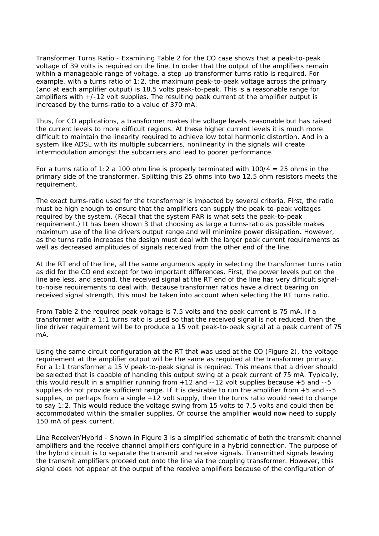Transformer Turns Ratio - Examining Table 2 for the CO case shows that a peak-to-peak voltage of 39 volts is required on the line. In order that the output of the amplifiers remain within a manageable range of voltage, a step-up transformer turns ratio is required. For example, with a turns ratio of 1:2, the maximum peak-to-peak voltage across the primary (and at each amplifier output) is 18.5 volts peak-to-peak. This is a reasonable range for amplifiers with +/-12 volt supplies. The resulting peak current at the amplifier output is increased by the turns-ratio to a value of 370 mA.

Thus, for CO applications, a transformer makes the voltage levels reasonable but has raised the current levels to more difficult regions. At these higher current levels it is much more difficult to maintain the linearity required to achieve low total harmonic distortion. And in a system like ADSL with its multiple subcarriers, nonlinearity in the signals will create intermodulation amongst the subcarriers and lead to poorer performance.

For a turns ratio of 1:2 a 100 ohm line is properly terminated with  $100/4 = 25$  ohms in the primary side of the transformer. Splitting this 25 ohms into two 12.5 ohm resistors meets the requirement.

The exact turns-ratio used for the transformer is impacted by several criteria. First, the ratio must be high enough to ensure that the amplifiers can supply the peak-to-peak voltages required by the system. (Recall that the system PAR is what sets the peak-to-peak requirement.) It has been shown 3 that choosing as large a turns-ratio as possible makes maximum use of the line drivers output range and will minimize power dissipation. However, as the turns ratio increases the design must deal with the larger peak current requirements as well as decreased amplitudes of signals received from the other end of the line.

At the RT end of the line, all the same arguments apply in selecting the transformer turns ratio as did for the CO end except for two important differences. First, the power levels put on the line are less, and second, the received signal at the RT end of the line has very difficult signalto-noise requirements to deal with. Because transformer ratios have a direct bearing on received signal strength, this must be taken into account when selecting the RT turns ratio.

From Table 2 the required peak voltage is 7.5 volts and the peak current is 75 mA. If a transformer with a 1:1 turns ratio is used so that the received signal is not reduced, then the line driver requirement will be to produce a 15 volt peak-to-peak signal at a peak current of 75 mA.

Using the same circuit configuration at the RT that was used at the CO (Figure 2), the voltage requirement at the amplifier output will be the same as required at the transformer primary. For a 1:1 transformer a 15 V peak-to-peak signal is required. This means that a driver should be selected that is capable of handing this output swing at a peak current of 75 mA. Typically, this would result in a amplifier running from +12 and --12 volt supplies because +5 and --5 supplies do not provide sufficient range. If it is desirable to run the amplifier from +5 and --5 supplies, or perhaps from a single +12 volt supply, then the turns ratio would need to change to say 1:2. This would reduce the voltage swing from 15 volts to 7.5 volts and could then be accommodated within the smaller supplies. Of course the amplifier would now need to supply 150 mA of peak current.

Line Receiver/Hybrid - Shown in Figure 3 is a simplified schematic of both the transmit channel amplifiers and the receive channel amplifiers configure in a hybrid connection. The purpose of the hybrid circuit is to separate the transmit and receive signals. Transmitted signals leaving the transmit amplifiers proceed out onto the line via the coupling transformer. However, this signal does not appear at the output of the receive amplifiers because of the configuration of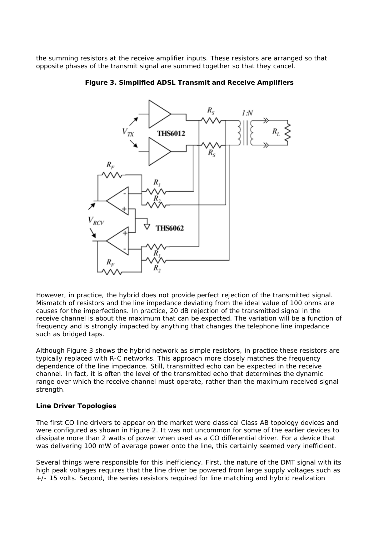the summing resistors at the receive amplifier inputs. These resistors are arranged so that opposite phases of the transmit signal are summed together so that they cancel.



**Figure 3. Simplified ADSL Transmit and Receive Amplifiers**

However, in practice, the hybrid does not provide perfect rejection of the transmitted signal. Mismatch of resistors and the line impedance deviating from the ideal value of 100 ohms are causes for the imperfections. In practice, 20 dB rejection of the transmitted signal in the receive channel is about the maximum that can be expected. The variation will be a function of frequency and is strongly impacted by anything that changes the telephone line impedance such as bridged taps.

Although Figure 3 shows the hybrid network as simple resistors, in practice these resistors are typically replaced with R-C networks. This approach more closely matches the frequency dependence of the line impedance. Still, transmitted echo can be expected in the receive channel. In fact, it is often the level of the transmitted echo that determines the dynamic range over which the receive channel must operate, rather than the maximum received signal strength.

### **Line Driver Topologies**

The first CO line drivers to appear on the market were classical Class AB topology devices and were configured as shown in Figure 2. It was not uncommon for some of the earlier devices to dissipate more than 2 watts of power when used as a CO differential driver. For a device that was delivering 100 mW of average power onto the line, this certainly seemed very inefficient.

Several things were responsible for this inefficiency. First, the nature of the DMT signal with its high peak voltages requires that the line driver be powered from large supply voltages such as  $+$ -/- 15 volts. Second, the series resistors required for line matching and hybrid realization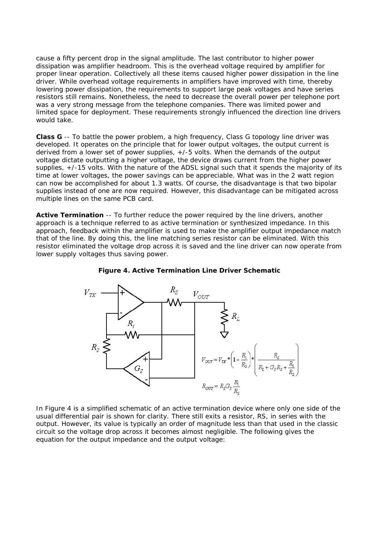cause a fifty percent drop in the signal amplitude. The last contributor to higher power dissipation was amplifier headroom. This is the overhead voltage required by amplifier for proper linear operation. Collectively all these items caused higher power dissipation in the line driver. While overhead voltage requirements in amplifiers have improved with time, thereby lowering power dissipation, the requirements to support large peak voltages and have series resistors still remains. Nonetheless, the need to decrease the overall power per telephone port was a very strong message from the telephone companies. There was limited power and limited space for deployment. These requirements strongly influenced the direction line drivers would take.

**Class G** -- To battle the power problem, a high frequency, Class G topology line driver was developed. It operates on the principle that for lower output voltages, the output current is derived from a lower set of power supplies, +/-5 volts. When the demands of the output voltage dictate outputting a higher voltage, the device draws current from the higher power supplies, +/-15 volts. With the nature of the ADSL signal such that it spends the majority of its time at lower voltages, the power savings can be appreciable. What was in the 2 watt region can now be accomplished for about 1.3 watts. Of course, the disadvantage is that two bipolar supplies instead of one are now required. However, this disadvantage can be mitigated across multiple lines on the same PCB card.

**Active Termination** -- To further reduce the power required by the line drivers, another approach is a technique referred to as active termination or synthesized impedance. In this approach, feedback within the amplifier is used to make the amplifier output impedance match that of the line. By doing this, the line matching series resistor can be eliminated. With this resistor eliminated the voltage drop across it is saved and the line driver can now operate from lower supply voltages thus saving power.





In Figure 4 is a simplified schematic of an active termination device where only one side of the usual differential pair is shown for clarity. There still exits a resistor, RS, in series with the output. However, its value is typically an order of magnitude less than that used in the classic circuit so the voltage drop across it becomes almost negligible. The following gives the equation for the output impedance and the output voltage: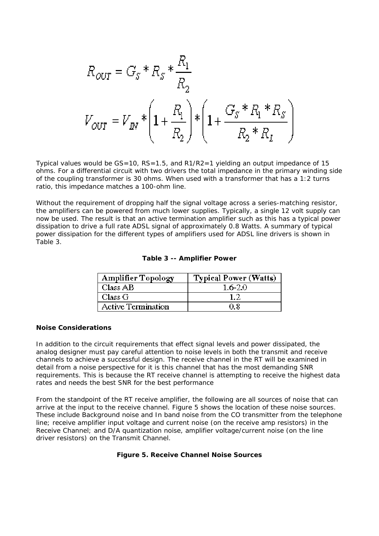$$
R_{OUT} = G_S * R_S * \frac{R_1}{R_2}
$$
  

$$
V_{OUT} = V_{IN} * \left(1 + \frac{R_1}{R_2}\right) * \left(1 + \frac{G_S * R_1 * R_S}{R_2 * R_L}\right)
$$

Typical values would be  $GS=10$ ,  $RS=1.5$ , and  $R1/R2=1$  yielding an output impedance of 15 ohms. For a differential circuit with two drivers the total impedance in the primary winding side of the coupling transformer is 30 ohms. When used with a transformer that has a 1:2 turns ratio, this impedance matches a 100-ohm line.

Without the requirement of dropping half the signal voltage across a series-matching resistor, the amplifiers can be powered from much lower supplies. Typically, a single 12 volt supply can now be used. The result is that an active termination amplifier such as this has a typical power dissipation to drive a full rate ADSL signal of approximately 0.8 Watts. A summary of typical power dissipation for the different types of amplifiers used for ADSL line drivers is shown in Table 3.

| <b>Amplifier Topology</b> | <b>Typical Power (Watts)</b> |
|---------------------------|------------------------------|
| Class AB                  | $1.6 - 2.0$                  |
| Class G                   |                              |
| <b>Active Termination</b> | 0.8                          |

#### **Noise Considerations**

In addition to the circuit requirements that effect signal levels and power dissipated, the analog designer must pay careful attention to noise levels in both the transmit and receive channels to achieve a successful design. The receive channel in the RT will be examined in detail from a noise perspective for it is this channel that has the most demanding SNR requirements. This is because the RT receive channel is attempting to receive the highest data rates and needs the best SNR for the best performance

From the standpoint of the RT receive amplifier, the following are all sources of noise that can arrive at the input to the receive channel. Figure 5 shows the location of these noise sources. These include Background noise and In band noise from the CO transmitter from the telephone line; receive amplifier input voltage and current noise (on the receive amp resistors) in the Receive Channel; and D/A quantization noise, amplifier voltage/current noise (on the line driver resistors) on the Transmit Channel.

#### **Figure 5. Receive Channel Noise Sources**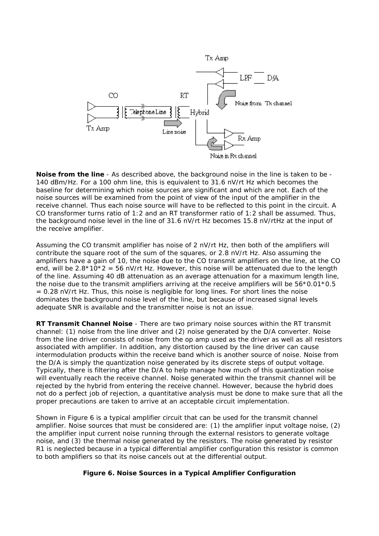

**Noise from the line** - As described above, the background noise in the line is taken to be - 140 dBm/Hz. For a 100 ohm line, this is equivalent to 31.6 nV/rt Hz which becomes the baseline for determining which noise sources are significant and which are not. Each of the noise sources will be examined from the point of view of the input of the amplifier in the receive channel. Thus each noise source will have to be reflected to this point in the circuit. A CO transformer turns ratio of 1:2 and an RT transformer ratio of 1:2 shall be assumed. Thus, the background noise level in the line of 31.6 nV/rt Hz becomes 15.8 nV/rtHz at the input of the receive amplifier.

Assuming the CO transmit amplifier has noise of 2 nV/rt Hz, then both of the amplifiers will contribute the square root of the sum of the squares, or 2.8 nV/rt Hz. Also assuming the amplifiers have a gain of 10, the noise due to the CO transmit amplifiers on the line, at the CO end, will be  $2.8*10*2 = 56$  nV/rt Hz. However, this noise will be attenuated due to the length of the line. Assuming 40 dB attenuation as an average attenuation for a maximum length line, the noise due to the transmit amplifiers arriving at the receive amplifiers will be 56\*0.01\*0.5 = 0.28 nV/rt Hz. Thus, this noise is negligible for long lines. For short lines the noise dominates the background noise level of the line, but because of increased signal levels adequate SNR is available and the transmitter noise is not an issue.

**RT Transmit Channel Noise** - There are two primary noise sources within the RT transmit channel: (1) noise from the line driver and (2) noise generated by the D/A converter. Noise from the line driver consists of noise from the op amp used as the driver as well as all resistors associated with amplifier. In addition, any distortion caused by the line driver can cause intermodulation products within the receive band which is another source of noise. Noise from the D/A is simply the quantization noise generated by its discrete steps of output voltage. Typically, there is filtering after the D/A to help manage how much of this quantization noise will eventually reach the receive channel. Noise generated within the transmit channel will be rejected by the hybrid from entering the receive channel. However, because the hybrid does not do a perfect job of rejection, a quantitative analysis must be done to make sure that all the proper precautions are taken to arrive at an acceptable circuit implementation.

Shown in Figure 6 is a typical amplifier circuit that can be used for the transmit channel amplifier. Noise sources that must be considered are: (1) the amplifier input voltage noise, (2) the amplifier input current noise running through the external resistors to generate voltage noise, and (3) the thermal noise generated by the resistors. The noise generated by resistor R1 is neglected because in a typical differential amplifier configuration this resistor is common to both amplifiers so that its noise cancels out at the differential output.

### **Figure 6. Noise Sources in a Typical Amplifier Configuration**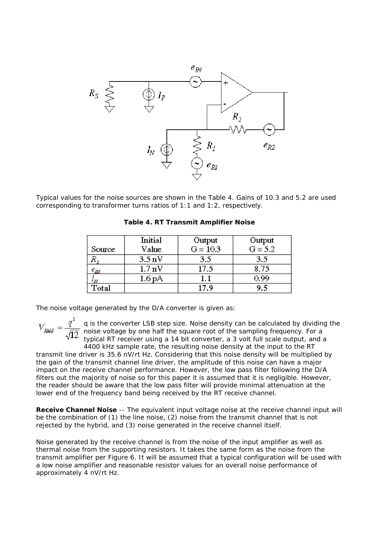

Typical values for the noise sources are shown in the Table 4. Gains of 10.3 and 5.2 are used corresponding to transformer turns ratios of 1:1 and 1:2, respectively.

|                     | Initial          | Output     | Output    |
|---------------------|------------------|------------|-----------|
| Source              | Value            | $G = 10.3$ | $G = 5.2$ |
|                     | $3.5 \text{ nV}$ | 3.5        | 3.5       |
| $\epsilon_{I\!\!M}$ | $1.7 \text{ nV}$ | 17.5       | 8.75      |
|                     | 1.6 pA           |            | 0.99      |
| Total               |                  | 17.9       | 9.5       |

**Table 4. RT Transmit Amplifier Noise**

The noise voltage generated by the D/A converter is given as:

q is the converter LSB step size. Noise density can be calculated by dividing the noise voltage by one half the square root of the sampling frequency. For a typical RT receiver using a 14 bit converter, a 3 volt full scale output, and a

4400 kHz sample rate, the resulting noise density at the input to the RT transmit line driver is 35.6 nV/rt Hz. Considering that this noise density will be multiplied by the gain of the transmit channel line driver, the amplitude of this noise can have a major impact on the receive channel performance. However, the low pass filter following the D/A filters out the majority of noise so for this paper it is assumed that it is negligible. However, the reader should be aware that the low pass filter will provide minimal attenuation at the lower end of the frequency band being received by the RT receive channel.

**Receive Channel Noise** -- The equivalent input voltage noise at the receive channel input will be the combination of (1) the line noise, (2) noise from the transmit channel that is not rejected by the hybrid, and (3) noise generated in the receive channel itself.

Noise generated by the receive channel is from the noise of the input amplifier as well as thermal noise from the supporting resistors. It takes the same form as the noise from the transmit amplifier per Figure 6. It will be assumed that a typical configuration will be used with a low noise amplifier and reasonable resistor values for an overall noise performance of approximately 4 nV/rt Hz.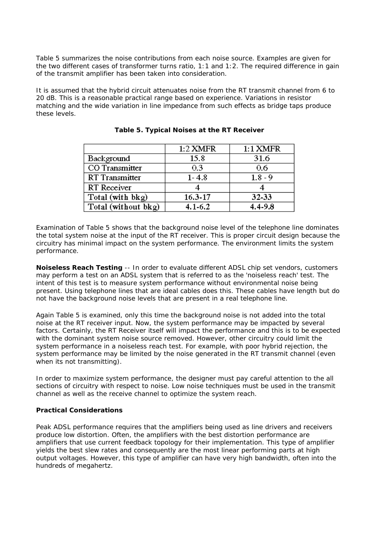Table 5 summarizes the noise contributions from each noise source. Examples are given for the two different cases of transformer turns ratio, 1:1 and 1:2. The required difference in gain of the transmit amplifier has been taken into consideration.

It is assumed that the hybrid circuit attenuates noise from the RT transmit channel from 6 to 20 dB. This is a reasonable practical range based on experience. Variations in resistor matching and the wide variation in line impedance from such effects as bridge taps produce these levels.

|                     | $1:2$ XMFR  | $1:1$ XMFR  |
|---------------------|-------------|-------------|
| Background          | 15.8        | 31.6        |
| CO Transmitter      | 0.3         | 0.6         |
| RT Transmitter      | $1 - 4.8$   | $1.8 - 9$   |
| RT Receiver         |             |             |
| Total (with bkg)    | $16.3 - 17$ | 32-33       |
| Total (without bkg) | $4.1 - 6.2$ | $4.4 - 9.8$ |

**Table 5. Typical Noises at the RT Receiver**

Examination of Table 5 shows that the background noise level of the telephone line dominates the total system noise at the input of the RT receiver. This is proper circuit design because the circuitry has minimal impact on the system performance. The environment limits the system performance.

**Noiseless Reach Testing** -- In order to evaluate different ADSL chip set vendors, customers may perform a test on an ADSL system that is referred to as the 'noiseless reach' test. The intent of this test is to measure system performance without environmental noise being present. Using telephone lines that are ideal cables does this. These cables have length but do not have the background noise levels that are present in a real telephone line.

Again Table 5 is examined, only this time the background noise is not added into the total noise at the RT receiver input. Now, the system performance may be impacted by several factors. Certainly, the RT Receiver itself will impact the performance and this is to be expected with the dominant system noise source removed. However, other circuitry could limit the system performance in a noiseless reach test. For example, with poor hybrid rejection, the system performance may be limited by the noise generated in the RT transmit channel (even when its not transmitting).

In order to maximize system performance, the designer must pay careful attention to the all sections of circuitry with respect to noise. Low noise techniques must be used in the transmit channel as well as the receive channel to optimize the system reach.

### **Practical Considerations**

Peak ADSL performance requires that the amplifiers being used as line drivers and receivers produce low distortion. Often, the amplifiers with the best distortion performance are amplifiers that use current feedback topology for their implementation. This type of amplifier yields the best slew rates and consequently are the most linear performing parts at high output voltages. However, this type of amplifier can have very high bandwidth, often into the hundreds of megahertz.